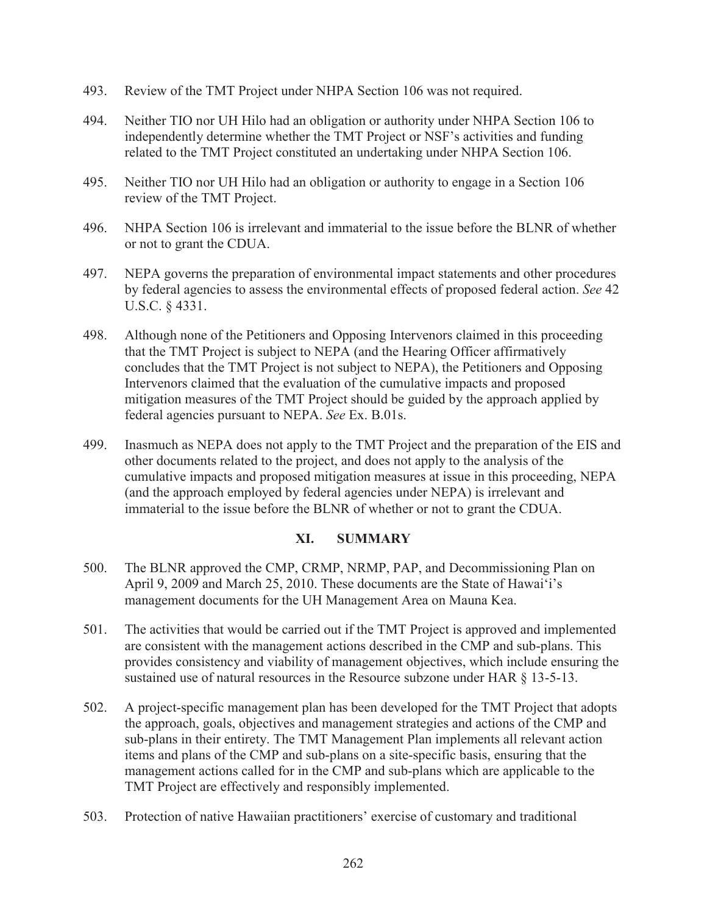- 493. Review of the TMT Project under NHPA Section 106 was not required.
- 494. Neither TIO nor UH Hilo had an obligation or authority under NHPA Section 106 to independently determine whether the TMT Project or NSF's activities and funding related to the TMT Project constituted an undertaking under NHPA Section 106.
- 495. Neither TIO nor UH Hilo had an obligation or authority to engage in a Section 106 review of the TMT Project.
- 496. NHPA Section 106 is irrelevant and immaterial to the issue before the BLNR of whether or not to grant the CDUA.
- 497. NEPA governs the preparation of environmental impact statements and other procedures by federal agencies to assess the environmental effects of proposed federal action. *See* 42 U.S.C. § 4331.
- 498. Although none of the Petitioners and Opposing Intervenors claimed in this proceeding that the TMT Project is subject to NEPA (and the Hearing Officer affirmatively concludes that the TMT Project is not subject to NEPA), the Petitioners and Opposing Intervenors claimed that the evaluation of the cumulative impacts and proposed mitigation measures of the TMT Project should be guided by the approach applied by federal agencies pursuant to NEPA. *See* Ex. B.01s.
- 499. Inasmuch as NEPA does not apply to the TMT Project and the preparation of the EIS and other documents related to the project, and does not apply to the analysis of the cumulative impacts and proposed mitigation measures at issue in this proceeding, NEPA (and the approach employed by federal agencies under NEPA) is irrelevant and immaterial to the issue before the BLNR of whether or not to grant the CDUA.

## **XI. SUMMARY**

- 500. The BLNR approved the CMP, CRMP, NRMP, PAP, and Decommissioning Plan on April 9, 2009 and March 25, 2010. These documents are the State of Hawai'i's management documents for the UH Management Area on Mauna Kea.
- 501. The activities that would be carried out if the TMT Project is approved and implemented are consistent with the management actions described in the CMP and sub-plans. This provides consistency and viability of management objectives, which include ensuring the sustained use of natural resources in the Resource subzone under HAR § 13-5-13.
- 502. A project-specific management plan has been developed for the TMT Project that adopts the approach, goals, objectives and management strategies and actions of the CMP and sub-plans in their entirety. The TMT Management Plan implements all relevant action items and plans of the CMP and sub-plans on a site-specific basis, ensuring that the management actions called for in the CMP and sub-plans which are applicable to the TMT Project are effectively and responsibly implemented.
- 503. Protection of native Hawaiian practitioners' exercise of customary and traditional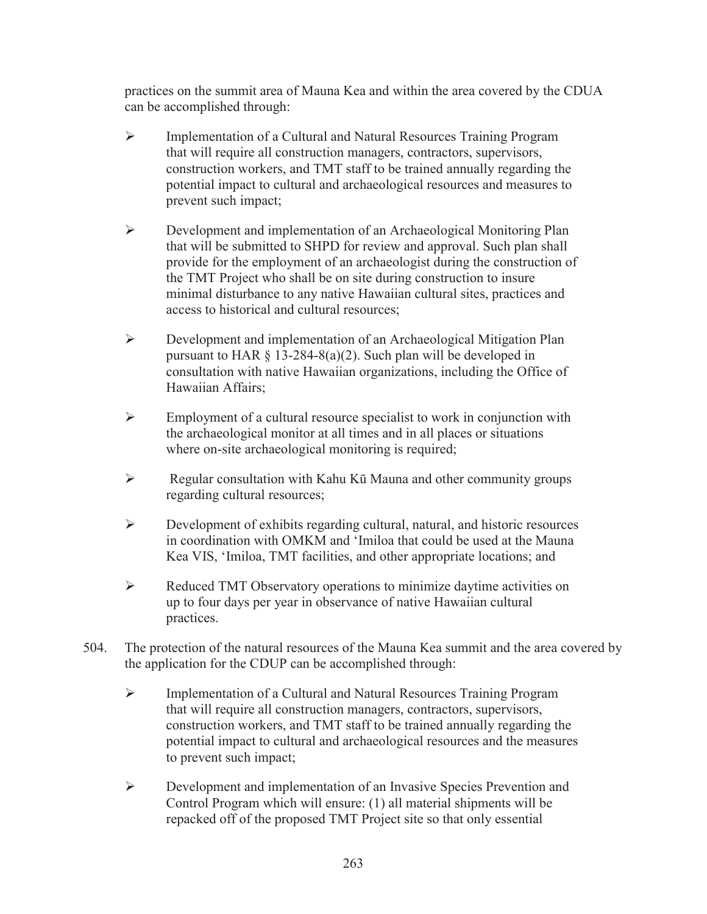practices on the summit area of Mauna Kea and within the area covered by the CDUA can be accomplished through:

- ¾ Implementation of a Cultural and Natural Resources Training Program that will require all construction managers, contractors, supervisors, construction workers, and TMT staff to be trained annually regarding the potential impact to cultural and archaeological resources and measures to prevent such impact;
- $\triangleright$  Development and implementation of an Archaeological Monitoring Plan that will be submitted to SHPD for review and approval. Such plan shall provide for the employment of an archaeologist during the construction of the TMT Project who shall be on site during construction to insure minimal disturbance to any native Hawaiian cultural sites, practices and access to historical and cultural resources;
- $\triangleright$  Development and implementation of an Archaeological Mitigation Plan pursuant to HAR  $\S$  13-284-8(a)(2). Such plan will be developed in consultation with native Hawaiian organizations, including the Office of Hawaiian Affairs;
- $\triangleright$  Employment of a cultural resource specialist to work in conjunction with the archaeological monitor at all times and in all places or situations where on-site archaeological monitoring is required;
- $\triangleright$  Regular consultation with Kahu Ku Mauna and other community groups regarding cultural resources;
- $\triangleright$  Development of exhibits regarding cultural, natural, and historic resources in coordination with OMKM and 'Imiloa that could be used at the Mauna Kea VIS, 'Imiloa, TMT facilities, and other appropriate locations; and
- $\triangleright$  Reduced TMT Observatory operations to minimize daytime activities on up to four days per year in observance of native Hawaiian cultural practices.
- 504. The protection of the natural resources of the Mauna Kea summit and the area covered by the application for the CDUP can be accomplished through:
	- ¾ Implementation of a Cultural and Natural Resources Training Program that will require all construction managers, contractors, supervisors, construction workers, and TMT staff to be trained annually regarding the potential impact to cultural and archaeological resources and the measures to prevent such impact;
	- ¾ Development and implementation of an Invasive Species Prevention and Control Program which will ensure: (1) all material shipments will be repacked off of the proposed TMT Project site so that only essential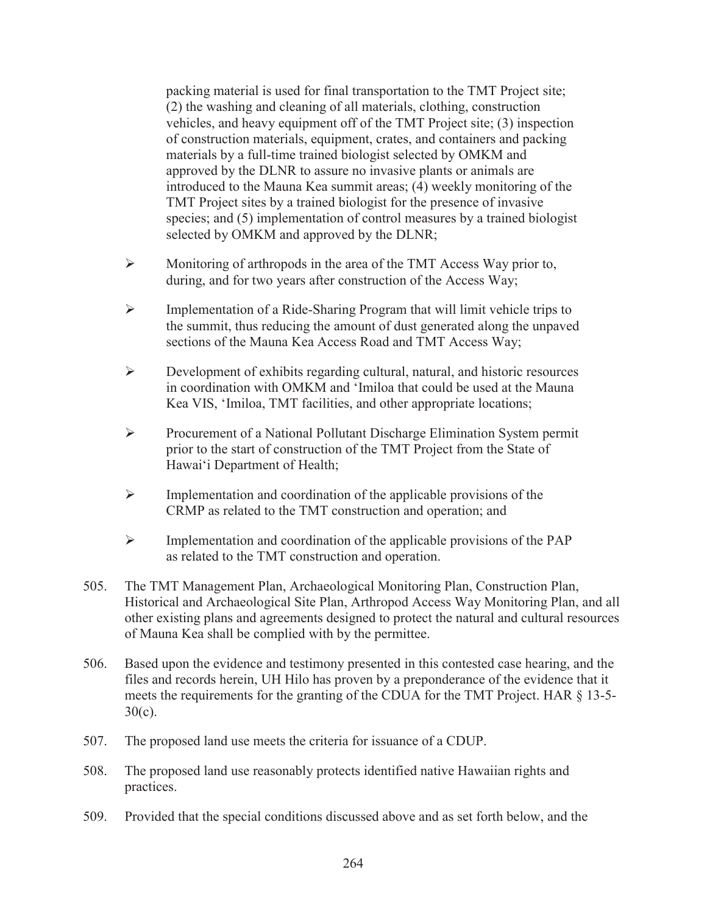packing material is used for final transportation to the TMT Project site; (2) the washing and cleaning of all materials, clothing, construction vehicles, and heavy equipment off of the TMT Project site; (3) inspection of construction materials, equipment, crates, and containers and packing materials by a full-time trained biologist selected by OMKM and approved by the DLNR to assure no invasive plants or animals are introduced to the Mauna Kea summit areas; (4) weekly monitoring of the TMT Project sites by a trained biologist for the presence of invasive species; and (5) implementation of control measures by a trained biologist selected by OMKM and approved by the DLNR;

- ¾ Monitoring of arthropods in the area of the TMT Access Way prior to, during, and for two years after construction of the Access Way;
- ¾ Implementation of a Ride-Sharing Program that will limit vehicle trips to the summit, thus reducing the amount of dust generated along the unpaved sections of the Mauna Kea Access Road and TMT Access Way;
- $\triangleright$  Development of exhibits regarding cultural, natural, and historic resources in coordination with OMKM and 'Imiloa that could be used at the Mauna Kea VIS, 'Imiloa, TMT facilities, and other appropriate locations;
- ¾ Procurement of a National Pollutant Discharge Elimination System permit prior to the start of construction of the TMT Project from the State of Hawai'i Department of Health;
- $\triangleright$  Implementation and coordination of the applicable provisions of the CRMP as related to the TMT construction and operation; and
- $\triangleright$  Implementation and coordination of the applicable provisions of the PAP as related to the TMT construction and operation.
- 505. The TMT Management Plan, Archaeological Monitoring Plan, Construction Plan, Historical and Archaeological Site Plan, Arthropod Access Way Monitoring Plan, and all other existing plans and agreements designed to protect the natural and cultural resources of Mauna Kea shall be complied with by the permittee.
- 506. Based upon the evidence and testimony presented in this contested case hearing, and the files and records herein, UH Hilo has proven by a preponderance of the evidence that it meets the requirements for the granting of the CDUA for the TMT Project. HAR § 13-5- 30(c).
- 507. The proposed land use meets the criteria for issuance of a CDUP.
- 508. The proposed land use reasonably protects identified native Hawaiian rights and practices.
- 509. Provided that the special conditions discussed above and as set forth below, and the